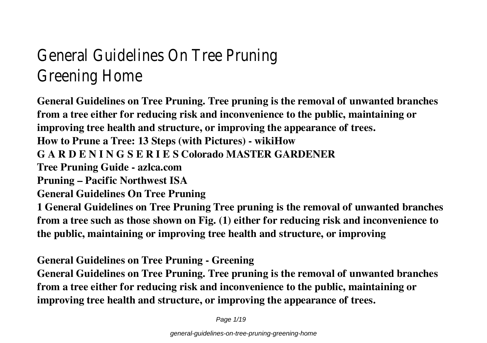# General Guidelines On Tree Pruning Greening Home

**General Guidelines on Tree Pruning. Tree pruning is the removal of unwanted branches from a tree either for reducing risk and inconvenience to the public, maintaining or improving tree health and structure, or improving the appearance of trees. How to Prune a Tree: 13 Steps (with Pictures) - wikiHow G A R D E N I N G S E R I E S Colorado MASTER GARDENER Tree Pruning Guide - azlca.com Pruning – Pacific Northwest ISA General Guidelines On Tree Pruning 1 General Guidelines on Tree Pruning Tree pruning is the removal of unwanted branches from a tree such as those shown on Fig. (1) either for reducing risk and inconvenience to the public, maintaining or improving tree health and structure, or improving**

**General Guidelines on Tree Pruning - Greening**

**General Guidelines on Tree Pruning. Tree pruning is the removal of unwanted branches from a tree either for reducing risk and inconvenience to the public, maintaining or improving tree health and structure, or improving the appearance of trees.**

Page  $1/19$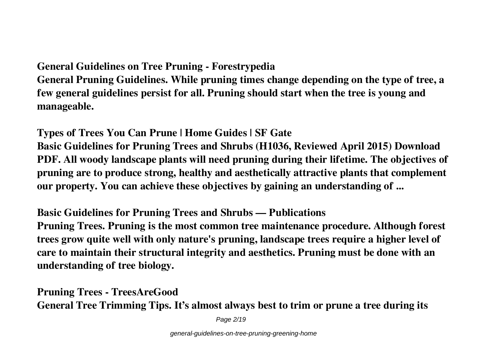**General Guidelines on Tree Pruning - Forestrypedia**

**General Pruning Guidelines. While pruning times change depending on the type of tree, a few general guidelines persist for all. Pruning should start when the tree is young and manageable.**

**Types of Trees You Can Prune | Home Guides | SF Gate Basic Guidelines for Pruning Trees and Shrubs (H1036, Reviewed April 2015) Download PDF. All woody landscape plants will need pruning during their lifetime. The objectives of pruning are to produce strong, healthy and aesthetically attractive plants that complement our property. You can achieve these objectives by gaining an understanding of ...**

**Basic Guidelines for Pruning Trees and Shrubs — Publications**

**Pruning Trees. Pruning is the most common tree maintenance procedure. Although forest trees grow quite well with only nature's pruning, landscape trees require a higher level of care to maintain their structural integrity and aesthetics. Pruning must be done with an understanding of tree biology.**

**Pruning Trees - TreesAreGood General Tree Trimming Tips. It's almost always best to trim or prune a tree during its**

Page 2/19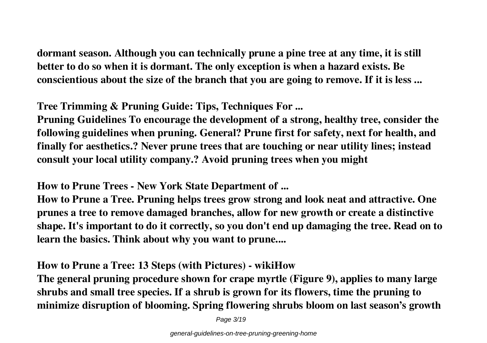**dormant season. Although you can technically prune a pine tree at any time, it is still better to do so when it is dormant. The only exception is when a hazard exists. Be conscientious about the size of the branch that you are going to remove. If it is less ...**

**Tree Trimming & Pruning Guide: Tips, Techniques For ...**

**Pruning Guidelines To encourage the development of a strong, healthy tree, consider the following guidelines when pruning. General? Prune first for safety, next for health, and finally for aesthetics.? Never prune trees that are touching or near utility lines; instead consult your local utility company.? Avoid pruning trees when you might**

**How to Prune Trees - New York State Department of ...**

**How to Prune a Tree. Pruning helps trees grow strong and look neat and attractive. One prunes a tree to remove damaged branches, allow for new growth or create a distinctive shape. It's important to do it correctly, so you don't end up damaging the tree. Read on to learn the basics. Think about why you want to prune....**

**How to Prune a Tree: 13 Steps (with Pictures) - wikiHow**

**The general pruning procedure shown for crape myrtle (Figure 9), applies to many large shrubs and small tree species. If a shrub is grown for its flowers, time the pruning to minimize disruption of blooming. Spring flowering shrubs bloom on last season's growth**

Page 3/19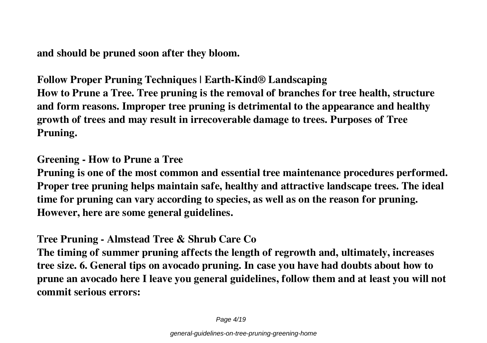**and should be pruned soon after they bloom.**

**Follow Proper Pruning Techniques | Earth-Kind® Landscaping How to Prune a Tree. Tree pruning is the removal of branches for tree health, structure and form reasons. Improper tree pruning is detrimental to the appearance and healthy growth of trees and may result in irrecoverable damage to trees. Purposes of Tree Pruning.**

**Greening - How to Prune a Tree**

**Pruning is one of the most common and essential tree maintenance procedures performed. Proper tree pruning helps maintain safe, healthy and attractive landscape trees. The ideal time for pruning can vary according to species, as well as on the reason for pruning. However, here are some general guidelines.**

**Tree Pruning - Almstead Tree & Shrub Care Co**

**The timing of summer pruning affects the length of regrowth and, ultimately, increases tree size. 6. General tips on avocado pruning. In case you have had doubts about how to prune an avocado here I leave you general guidelines, follow them and at least you will not commit serious errors:**

Page 4/19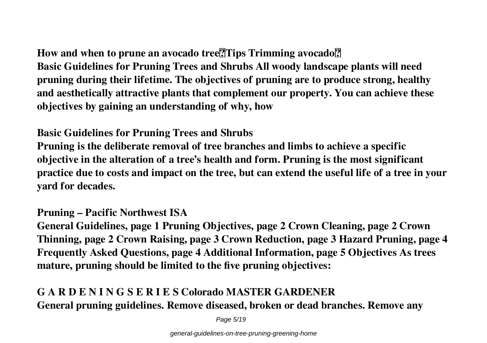# How and when to prune an avocado tree<sup>[7]</sup>Tips Trimming avocado<sup>[7]</sup> **Basic Guidelines for Pruning Trees and Shrubs All woody landscape plants will need pruning during their lifetime. The objectives of pruning are to produce strong, healthy and aesthetically attractive plants that complement our property. You can achieve these objectives by gaining an understanding of why, how**

### **Basic Guidelines for Pruning Trees and Shrubs**

**Pruning is the deliberate removal of tree branches and limbs to achieve a specific objective in the alteration of a tree's health and form. Pruning is the most significant practice due to costs and impact on the tree, but can extend the useful life of a tree in your yard for decades.**

#### **Pruning – Pacific Northwest ISA**

**General Guidelines, page 1 Pruning Objectives, page 2 Crown Cleaning, page 2 Crown Thinning, page 2 Crown Raising, page 3 Crown Reduction, page 3 Hazard Pruning, page 4 Frequently Asked Questions, page 4 Additional Information, page 5 Objectives As trees mature, pruning should be limited to the five pruning objectives:**

# **G A R D E N I N G S E R I E S Colorado MASTER GARDENER General pruning guidelines. Remove diseased, broken or dead branches. Remove any**

Page 5/19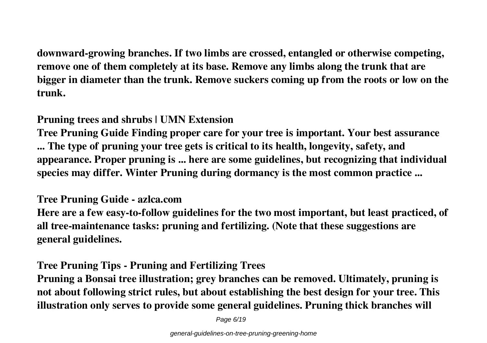**downward-growing branches. If two limbs are crossed, entangled or otherwise competing, remove one of them completely at its base. Remove any limbs along the trunk that are bigger in diameter than the trunk. Remove suckers coming up from the roots or low on the trunk.**

### **Pruning trees and shrubs | UMN Extension**

**Tree Pruning Guide Finding proper care for your tree is important. Your best assurance ... The type of pruning your tree gets is critical to its health, longevity, safety, and appearance. Proper pruning is ... here are some guidelines, but recognizing that individual species may differ. Winter Pruning during dormancy is the most common practice ...**

#### **Tree Pruning Guide - azlca.com**

**Here are a few easy-to-follow guidelines for the two most important, but least practiced, of all tree-maintenance tasks: pruning and fertilizing. (Note that these suggestions are general guidelines.**

## **Tree Pruning Tips - Pruning and Fertilizing Trees**

**Pruning a Bonsai tree illustration; grey branches can be removed. Ultimately, pruning is not about following strict rules, but about establishing the best design for your tree. This illustration only serves to provide some general guidelines. Pruning thick branches will**

Page 6/19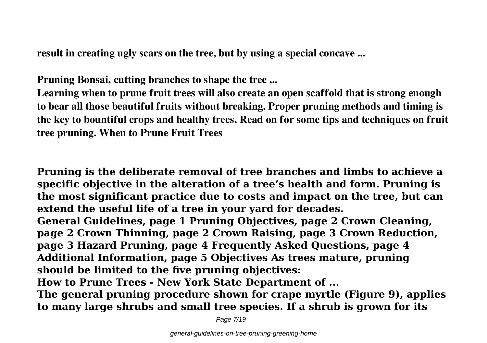**result in creating ugly scars on the tree, but by using a special concave ...**

**Pruning Bonsai, cutting branches to shape the tree ...**

**Learning when to prune fruit trees will also create an open scaffold that is strong enough to bear all those beautiful fruits without breaking. Proper pruning methods and timing is the key to bountiful crops and healthy trees. Read on for some tips and techniques on fruit tree pruning. When to Prune Fruit Trees**

**Pruning is the deliberate removal of tree branches and limbs to achieve a specific objective in the alteration of a tree's health and form. Pruning is the most significant practice due to costs and impact on the tree, but can extend the useful life of a tree in your yard for decades.**

**General Guidelines, page 1 Pruning Objectives, page 2 Crown Cleaning, page 2 Crown Thinning, page 2 Crown Raising, page 3 Crown Reduction, page 3 Hazard Pruning, page 4 Frequently Asked Questions, page 4 Additional Information, page 5 Objectives As trees mature, pruning should be limited to the five pruning objectives:**

**How to Prune Trees - New York State Department of ...**

**The general pruning procedure shown for crape myrtle (Figure 9), applies to many large shrubs and small tree species. If a shrub is grown for its**

Page 7/19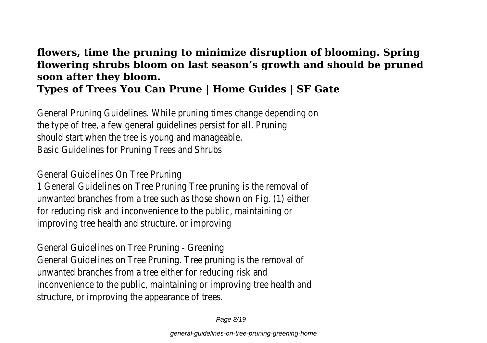#### **flowers, time the pruning to minimize disruption of blooming. Spring flowering shrubs bloom on last season's growth and should be pruned soon after they bloom. Types of Trees You Can Prune | Home Guides | SF Gate**

General Pruning Guidelines. While pruning times change depending on the type of tree, a few general guidelines persist for all. Pruning should start when the tree is young and manageable. Basic Guidelines for Pruning Trees and Shrubs

General Guidelines On Tree Pruning

1 General Guidelines on Tree Pruning Tree pruning is the removal of unwanted branches from a tree such as those shown on Fig. (1) either for reducing risk and inconvenience to the public, maintaining or improving tree health and structure, or improving

General Guidelines on Tree Pruning - Greening General Guidelines on Tree Pruning. Tree pruning is the removal of unwanted branches from a tree either for reducing risk and inconvenience to the public, maintaining or improving tree health and structure, or improving the appearance of trees.

Page 8/19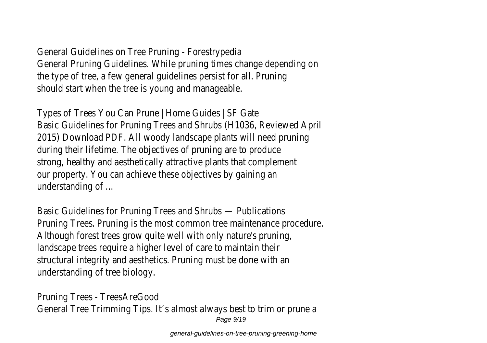General Guidelines on Tree Pruning - Forestrypedia General Pruning Guidelines. While pruning times change depending on the type of tree, a few general guidelines persist for all. Pruning should start when the tree is young and manageable.

Types of Trees You Can Prune | Home Guides | SF Gate Basic Guidelines for Pruning Trees and Shrubs (H1036, Reviewed April 2015) Download PDF. All woody landscape plants will need pruning during their lifetime. The objectives of pruning are to produce strong, healthy and aesthetically attractive plants that complement our property. You can achieve these objectives by gaining an understanding of ...

Basic Guidelines for Pruning Trees and Shrubs — Publications Pruning Trees. Pruning is the most common tree maintenance procedure. Although forest trees grow quite well with only nature's pruning, landscape trees require a higher level of care to maintain their structural integrity and aesthetics. Pruning must be done with an understanding of tree biology.

Pruning Trees - TreesAreGood General Tree Trimming Tips. It's almost always best to trim or prune a Page  $9/19$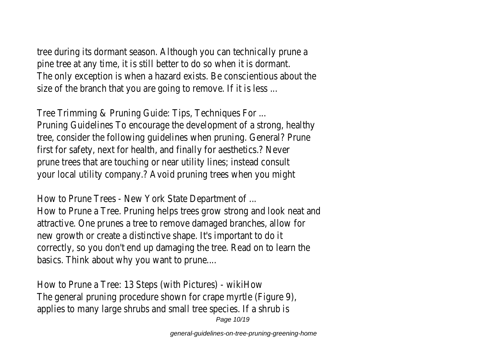tree during its dormant season. Although you can technically prune a pine tree at any time, it is still better to do so when it is dormant. The only exception is when a hazard exists. Be conscientious about the size of the branch that you are going to remove. If it is less ...

Tree Trimming & Pruning Guide: Tips, Techniques For ... Pruning Guidelines To encourage the development of a strong, healthy tree, consider the following guidelines when pruning. General? Prune first for safety, next for health, and finally for aesthetics.? Never prune trees that are touching or near utility lines; instead consult your local utility company.? Avoid pruning trees when you might

How to Prune Trees - New York State Department of ... How to Prune a Tree. Pruning helps trees grow strong and look neat and attractive. One prunes a tree to remove damaged branches, allow for new growth or create a distinctive shape. It's important to do it correctly, so you don't end up damaging the tree. Read on to learn the basics. Think about why you want to prune....

How to Prune a Tree: 13 Steps (with Pictures) - wikiHow The general pruning procedure shown for crape myrtle (Figure 9), applies to many large shrubs and small tree species. If a shrub is Page 10/19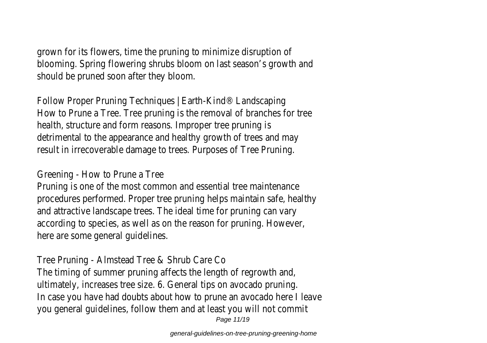grown for its flowers, time the pruning to minimize disruption of blooming. Spring flowering shrubs bloom on last season's growth and should be pruned soon after they bloom.

Follow Proper Pruning Techniques | Earth-Kind® Landscaping How to Prune a Tree. Tree pruning is the removal of branches for tree health, structure and form reasons. Improper tree pruning is detrimental to the appearance and healthy growth of trees and may result in irrecoverable damage to trees. Purposes of Tree Pruning.

Greening - How to Prune a Tree

Pruning is one of the most common and essential tree maintenance procedures performed. Proper tree pruning helps maintain safe, healthy and attractive landscape trees. The ideal time for pruning can vary according to species, as well as on the reason for pruning. However, here are some general guidelines.

Tree Pruning - Almstead Tree & Shrub Care Co The timing of summer pruning affects the length of regrowth and, ultimately, increases tree size. 6. General tips on avocado pruning. In case you have had doubts about how to prune an avocado here I leave you general guidelines, follow them and at least you will not commit Page 11/19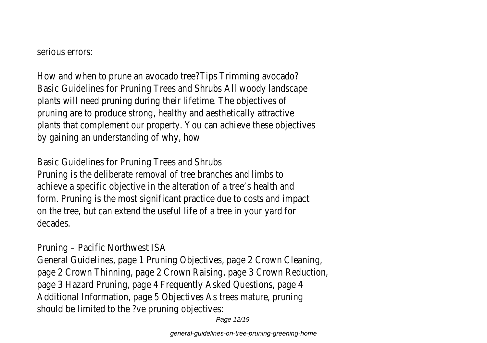serious errors:

How and when to prune an avocado tree?Tips Trimming avocado? Basic Guidelines for Pruning Trees and Shrubs All woody landscape plants will need pruning during their lifetime. The objectives of pruning are to produce strong, healthy and aesthetically attractive plants that complement our property. You can achieve these objectives by gaining an understanding of why, how

Basic Guidelines for Pruning Trees and Shrubs Pruning is the deliberate removal of tree branches and limbs to achieve a specific objective in the alteration of a tree's health and form. Pruning is the most significant practice due to costs and impact on the tree, but can extend the useful life of a tree in your yard for decades.

Pruning – Pacific Northwest ISA

General Guidelines, page 1 Pruning Objectives, page 2 Crown Cleaning, page 2 Crown Thinning, page 2 Crown Raising, page 3 Crown Reduction, page 3 Hazard Pruning, page 4 Frequently Asked Questions, page 4 Additional Information, page 5 Objectives As trees mature, pruning should be limited to the ?ve pruning objectives:

Page 12/19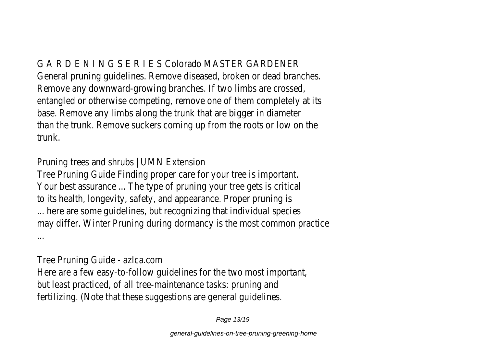G A R D E N I N G S E R I E S Colorado MASTER GARDENER General pruning guidelines. Remove diseased, broken or dead branches. Remove any downward-growing branches. If two limbs are crossed, entangled or otherwise competing, remove one of them completely at its base. Remove any limbs along the trunk that are bigger in diameter than the trunk. Remove suckers coming up from the roots or low on the trunk.

Pruning trees and shrubs | UMN Extension

Tree Pruning Guide Finding proper care for your tree is important. Your best assurance ... The type of pruning your tree gets is critical to its health, longevity, safety, and appearance. Proper pruning is ... here are some guidelines, but recognizing that individual species may differ. Winter Pruning during dormancy is the most common practice ...

Tree Pruning Guide - azlca.com Here are a few easy-to-follow guidelines for the two most important, but least practiced, of all tree-maintenance tasks: pruning and fertilizing. (Note that these suggestions are general guidelines.

Page 13/19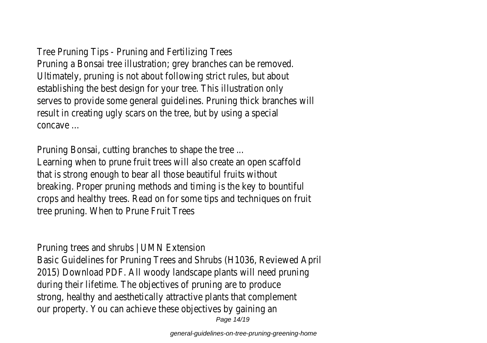Tree Pruning Tips - Pruning and Fertilizing Trees Pruning a Bonsai tree illustration; grey branches can be removed. Ultimately, pruning is not about following strict rules, but about establishing the best design for your tree. This illustration only serves to provide some general guidelines. Pruning thick branches will result in creating ugly scars on the tree, but by using a special concave ...

Pruning Bonsai, cutting branches to shape the tree ... Learning when to prune fruit trees will also create an open scaffold that is strong enough to bear all those beautiful fruits without breaking. Proper pruning methods and timing is the key to bountiful crops and healthy trees. Read on for some tips and techniques on fruit tree pruning. When to Prune Fruit Trees

Pruning trees and shrubs | UMN Extension Basic Guidelines for Pruning Trees and Shrubs (H1036, Reviewed April 2015) Download PDF. All woody landscape plants will need pruning during their lifetime. The objectives of pruning are to produce strong, healthy and aesthetically attractive plants that complement our property. You can achieve these objectives by gaining an Page 14/19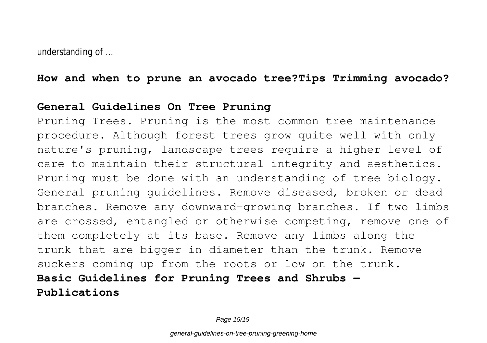understanding of ...

**How and when to prune an avocado tree?Tips Trimming avocado?**

#### **General Guidelines On Tree Pruning**

Pruning Trees. Pruning is the most common tree maintenance procedure. Although forest trees grow quite well with only nature's pruning, landscape trees require a higher level of care to maintain their structural integrity and aesthetics. Pruning must be done with an understanding of tree biology. General pruning guidelines. Remove diseased, broken or dead branches. Remove any downward-growing branches. If two limbs are crossed, entangled or otherwise competing, remove one of them completely at its base. Remove any limbs along the trunk that are bigger in diameter than the trunk. Remove suckers coming up from the roots or low on the trunk. **Basic Guidelines for Pruning Trees and Shrubs — Publications**

Page 15/19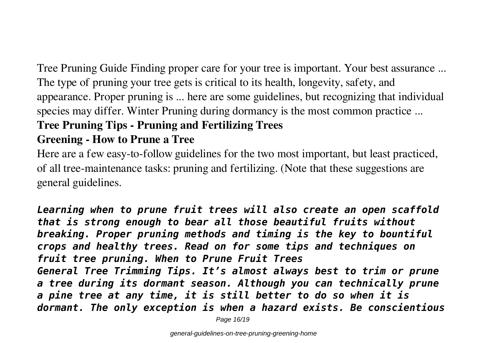Tree Pruning Guide Finding proper care for your tree is important. Your best assurance ... The type of pruning your tree gets is critical to its health, longevity, safety, and appearance. Proper pruning is ... here are some guidelines, but recognizing that individual species may differ. Winter Pruning during dormancy is the most common practice ...

# **Tree Pruning Tips - Pruning and Fertilizing Trees**

# **Greening - How to Prune a Tree**

Here are a few easy-to-follow guidelines for the two most important, but least practiced, of all tree-maintenance tasks: pruning and fertilizing. (Note that these suggestions are general guidelines.

*Learning when to prune fruit trees will also create an open scaffold that is strong enough to bear all those beautiful fruits without breaking. Proper pruning methods and timing is the key to bountiful crops and healthy trees. Read on for some tips and techniques on fruit tree pruning. When to Prune Fruit Trees General Tree Trimming Tips. It's almost always best to trim or prune a tree during its dormant season. Although you can technically prune a pine tree at any time, it is still better to do so when it is dormant. The only exception is when a hazard exists. Be conscientious*

Page 16/19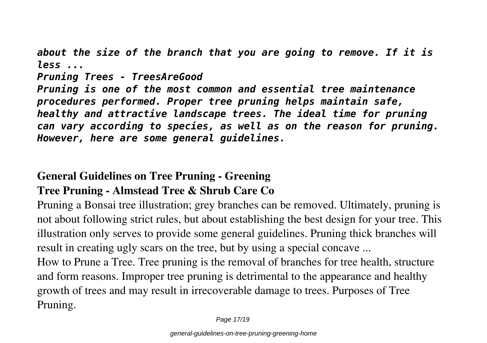*about the size of the branch that you are going to remove. If it is less ...*

#### *Pruning Trees - TreesAreGood*

*Pruning is one of the most common and essential tree maintenance procedures performed. Proper tree pruning helps maintain safe, healthy and attractive landscape trees. The ideal time for pruning can vary according to species, as well as on the reason for pruning. However, here are some general guidelines.*

# **General Guidelines on Tree Pruning - Greening Tree Pruning - Almstead Tree & Shrub Care Co**

Pruning a Bonsai tree illustration; grey branches can be removed. Ultimately, pruning is not about following strict rules, but about establishing the best design for your tree. This illustration only serves to provide some general guidelines. Pruning thick branches will result in creating ugly scars on the tree, but by using a special concave ...

How to Prune a Tree. Tree pruning is the removal of branches for tree health, structure and form reasons. Improper tree pruning is detrimental to the appearance and healthy growth of trees and may result in irrecoverable damage to trees. Purposes of Tree Pruning.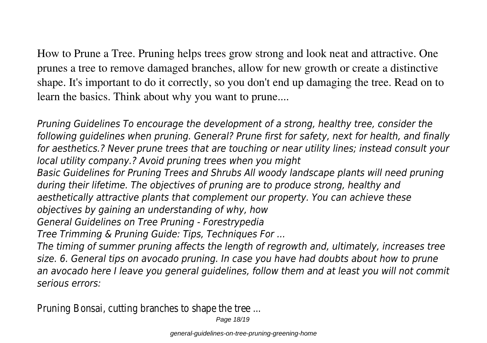How to Prune a Tree. Pruning helps trees grow strong and look neat and attractive. One prunes a tree to remove damaged branches, allow for new growth or create a distinctive shape. It's important to do it correctly, so you don't end up damaging the tree. Read on to learn the basics. Think about why you want to prune....

*Pruning Guidelines To encourage the development of a strong, healthy tree, consider the following guidelines when pruning. General? Prune first for safety, next for health, and finally for aesthetics.? Never prune trees that are touching or near utility lines; instead consult your local utility company.? Avoid pruning trees when you might Basic Guidelines for Pruning Trees and Shrubs All woody landscape plants will need pruning during their lifetime. The objectives of pruning are to produce strong, healthy and aesthetically attractive plants that complement our property. You can achieve these objectives by gaining an understanding of why, how General Guidelines on Tree Pruning - Forestrypedia Tree Trimming & Pruning Guide: Tips, Techniques For ... The timing of summer pruning affects the length of regrowth and, ultimately, increases tree size. 6. General tips on avocado pruning. In case you have had doubts about how to prune an avocado here I leave you general guidelines, follow them and at least you will not commit serious errors:*

Pruning Bonsai, cutting branches to shape the tree ...